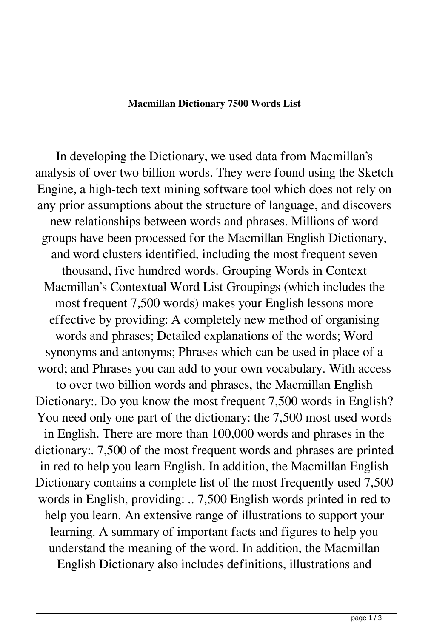## **Macmillan Dictionary 7500 Words List**

In developing the Dictionary, we used data from Macmillan's analysis of over two billion words. They were found using the Sketch Engine, a high-tech text mining software tool which does not rely on any prior assumptions about the structure of language, and discovers new relationships between words and phrases. Millions of word groups have been processed for the Macmillan English Dictionary, and word clusters identified, including the most frequent seven thousand, five hundred words. Grouping Words in Context Macmillan's Contextual Word List Groupings (which includes the most frequent 7,500 words) makes your English lessons more effective by providing: A completely new method of organising words and phrases; Detailed explanations of the words; Word synonyms and antonyms; Phrases which can be used in place of a word; and Phrases you can add to your own vocabulary. With access to over two billion words and phrases, the Macmillan English Dictionary:. Do you know the most frequent 7,500 words in English? You need only one part of the dictionary: the 7,500 most used words in English. There are more than 100,000 words and phrases in the dictionary:. 7,500 of the most frequent words and phrases are printed in red to help you learn English. In addition, the Macmillan English Dictionary contains a complete list of the most frequently used 7,500 words in English, providing: .. 7,500 English words printed in red to help you learn. An extensive range of illustrations to support your learning. A summary of important facts and figures to help you understand the meaning of the word. In addition, the Macmillan English Dictionary also includes definitions, illustrations and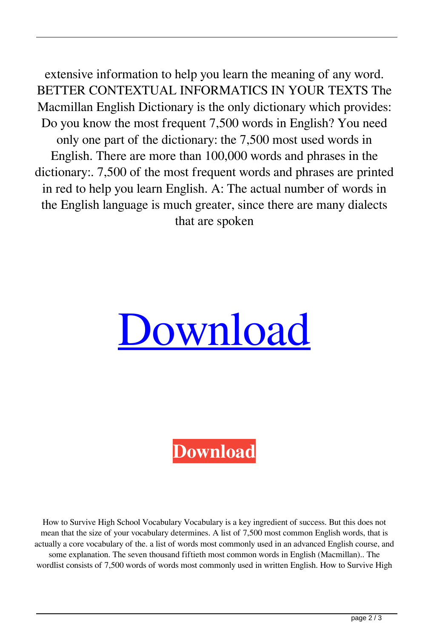extensive information to help you learn the meaning of any word. BETTER CONTEXTUAL INFORMATICS IN YOUR TEXTS The Macmillan English Dictionary is the only dictionary which provides: Do you know the most frequent 7,500 words in English? You need only one part of the dictionary: the 7,500 most used words in English. There are more than 100,000 words and phrases in the dictionary:. 7,500 of the most frequent words and phrases are printed in red to help you learn English. A: The actual number of words in the English language is much greater, since there are many dialects that are spoken



**[Download](http://evacdir.com/bllod/resultsfoundation/ZG93bmxvYWR8bEs5TW10cmVIeDhNVFkxTWpjME1EZzJObng4TWpVM05IeDhLRTBwSUhKbFlXUXRZbXh2WnlCYlJtRnpkQ0JIUlU1ZA&TWFjbWlsbGFuIERpY3Rpb25hcnkgNzUwMCBXb3JkcyBMaXN0TWF=resubmitted?hayflick=saco)**

How to Survive High School Vocabulary Vocabulary is a key ingredient of success. But this does not mean that the size of your vocabulary determines. A list of 7,500 most common English words, that is actually a core vocabulary of the. a list of words most commonly used in an advanced English course, and some explanation. The seven thousand fiftieth most common words in English (Macmillan).. The wordlist consists of 7,500 words of words most commonly used in written English. How to Survive High